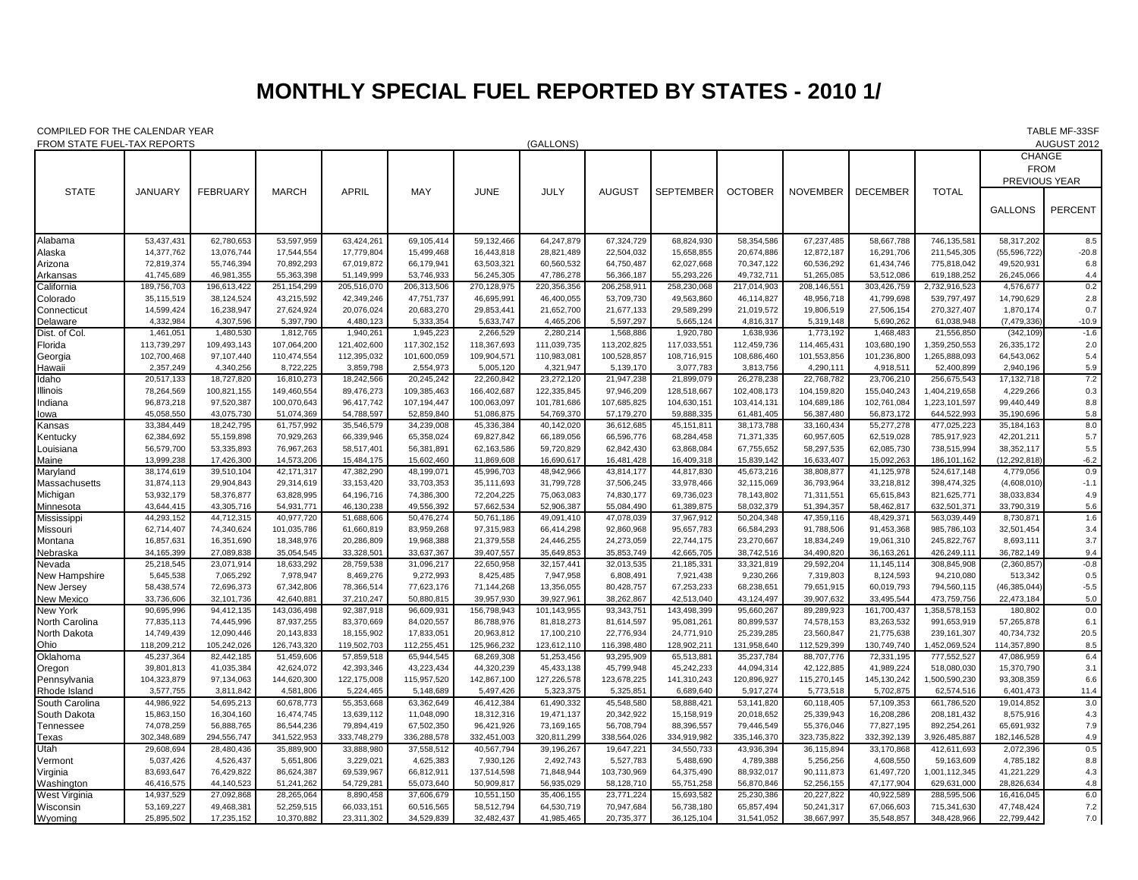## **MONTHLY SPECIAL FUEL REPORTED BY STATES - 2010 1/**

COMPILED FOR THE CALENDAR YEAR TABLE MF-33SF

| FROM STATE FUEL-TAX REPORTS<br>(GALLONS) |                          |                          |                          |                          |                         |                          |                          |                          |                          |                          |                          |                          | AUGUST 2012                |                          |                |
|------------------------------------------|--------------------------|--------------------------|--------------------------|--------------------------|-------------------------|--------------------------|--------------------------|--------------------------|--------------------------|--------------------------|--------------------------|--------------------------|----------------------------|--------------------------|----------------|
|                                          |                          |                          |                          |                          |                         |                          |                          |                          |                          |                          |                          |                          |                            | <b>CHANGE</b>            |                |
|                                          |                          |                          |                          |                          |                         |                          |                          |                          |                          |                          |                          |                          |                            | <b>FROM</b>              |                |
|                                          |                          |                          |                          |                          |                         |                          |                          |                          |                          |                          |                          |                          |                            | PREVIOUS YEAR            |                |
| <b>STATE</b>                             | <b>JANUARY</b>           | <b>FEBRUARY</b>          | <b>MARCH</b>             | <b>APRIL</b>             | MAY                     | <b>JUNE</b>              | JULY                     | <b>AUGUST</b>            | <b>SEPTEMBER</b>         | <b>OCTOBER</b>           | <b>NOVEMBER</b>          | <b>DECEMBER</b>          | <b>TOTAL</b>               |                          |                |
|                                          |                          |                          |                          |                          |                         |                          |                          |                          |                          |                          |                          |                          |                            |                          |                |
|                                          |                          |                          |                          |                          |                         |                          |                          |                          |                          |                          |                          |                          |                            | <b>GALLONS</b>           | <b>PERCENT</b> |
|                                          |                          |                          |                          |                          |                         |                          |                          |                          |                          |                          |                          |                          |                            |                          |                |
| Alabama                                  | 53,437,431               | 62,780,653               | 53,597,959               | 63,424,261               | 69,105,414              | 59,132,466               | 64,247,879               | 67,324,729               | 68,824,930               | 58,354,586               | 67,237,485               | 58,667,788               | 746,135,581                | 58,317,202               | 8.5            |
| Alaska                                   | 14,377,762               | 13,076,744               | 17,544,554               | 17,779,804               | 15,499,468              | 16,443,818               | 28,821,489               | 22,504,032               | 15,658,855               | 20,674,886               | 12,872,187               | 16,291,706               | 211,545,305                | (55, 596, 722)           | $-20.8$        |
| Arizona                                  | 72,819,374               | 55,746,394               | 70,892,293               | 67,019,872               | 66,179,941              | 63,503,321               | 60,560,532               | 64,750,487               | 62,027,668               | 70,347,122               | 60,536,292               | 61,434,746               | 775,818,042                | 49,520,931               | 6.8            |
| Arkansas                                 | 41,745,689               | 46,981,355               | 55,363,398               | 51,149,999               | 53,746,933              | 56,245,305               | 47,786,278               | 56,366,187               | 55,293,226               | 49,732,711               | 51,265,085               | 53,512,086               | 619,188,252                | 26,245,066               | 4.4            |
| California                               | 189,756,703              | 196,613,422              | 251, 154, 299            | 205,516,070              | 206,313,506             | 270,128,975              | 220,356,356              | 206,258,911              | 258,230,068              | 217,014,903              | 208,146,551              | 303,426,759              | 2,732,916,523              | 4,576,677                | 0.2            |
| Colorado                                 | 35,115,519               | 38,124,524               | 43,215,592               | 42,349,246               | 47,751,737              | 46,695,991               | 46,400,055               | 53,709,730               | 49,563,860               | 46,114,827               | 48,956,718               | 41,799,698               | 539,797,497                | 14,790,629               | 2.8            |
| Connecticut                              | 14,599,424               | 16,238,947               | 27,624,924               | 20,076,024               | 20,683,270              | 29,853,441               | 21,652,700               | 21,677,133               | 29,589,299               | 21,019,572               | 19,806,519               | 27,506,154               | 270,327,407                | 1,870,174                | 0.7            |
| Delaware                                 | 4,332,984                | 4,307,596                | 5,397,790                | 4,480,123                | 5,333,354               | 5,633,747                | 4,465,206                | 5,597,297                | 5,665,124                | 4.816.317                | 5,319,148                | 5.690.262                | 61,038,948                 | (7, 479, 336)            | $-10.9$        |
| Dist. of Col.                            | 1,461,051                | 1,480,530                | 1,812,765                | 1,940,261                | 1,945,223               | 2,266,529                | 2,280,214                | 1,568,886                | 1,920,780                | 1,638,936                | 1,773,192                | 1,468,483                | 21,556,850                 | (342, 109)               | $-1.6$         |
| Florida                                  | 113,739,297              | 109,493,143              | 107,064,200              | 121,402,600              | 117,302,152             | 118,367,693              | 111,039,735              | 113,202,825              | 117,033,551              | 112,459,736              | 114,465,431              | 103,680,190              | 1,359,250,553              | 26,335,172               | 2.0            |
| Georgia                                  | 102,700,468              | 97,107,440               | 110,474,554              | 112,395,032              | 101,600,059             | 109,904,571              | 110,983,081              | 100,528,857              | 108,716,915              | 108,686,460              | 101,553,856              | 101,236,800              | 1,265,888,093              | 64,543,062               | 5.4            |
| Hawaii                                   | 2,357,249                | 4,340,256                | 8,722,225                | 3,859,798                | 2,554,973               | 5,005,120                | 4,321,947                | 5,139,170                | 3,077,783                | 3,813,756                | 4,290,111                | 4,918,511                | 52,400,899                 | 2,940,196                | 5.9            |
| Idaho                                    | 20,517,133               | 18,727,820               | 16,810,273               | 18,242,566               | 20,245,242              | 22,260,842               | 23,272,120               | 21,947,238               | 21,899,079               | 26,278,238               | 22,768,782               | 23,706,210               | 256,675,543                | 17, 132, 718             | 7.2            |
| Illinois                                 | 78,264,569               | 100,821,155              | 149,460,554              | 89,476,273               | 109,385,463             | 166,402,687              | 122,335,845              | 97,946,209               | 128,518,667              | 102,408,173              | 104,159,820              | 155,040,243              | 1,404,219,658              | 4,229,266                | 0.3            |
| Indiana                                  | 96,873,218               | 97,520,387               | 100,070,643              | 96,417,742               | 107,194,447             | 100,063,097              | 101,781,686              | 107,685,825              | 104,630,151              | 103,414,131              | 104,689,186              | 102,761,084              | 1,223,101,597              | 99,440,449               | 8.8            |
| lowa                                     | 45,058,550               | 43,075,730               | 51,074,369               | 54,788,597               | 52,859,840              | 51,086,875               | 54,769,370               | 57,179,270               | 59,888,335               | 61,481,405               | 56,387,480               | 56,873,172               | 644,522,993                | 35,190,696               | 5.8            |
| Kansas                                   | 33,384,449               | 18,242,795               | 61,757,992               | 35,546,579               | 34,239,008              | 45,336,384               | 40,142,020               | 36,612,685               | 45,151,811               | 38,173,788               | 33,160,434               | 55,277,278               | 477,025,223                | 35,184,163               | 8.0            |
| Kentucky                                 | 62,384,692               | 55,159,898               | 70,929,263               | 66,339,946               | 65,358,024              | 69,827,842               | 66,189,056               | 66,596,776               | 68,284,458               | 71,371,335               | 60,957,605               | 62,519,028               | 785,917,923                | 42,201,211               | 5.7            |
| Louisiana                                | 56,579,700<br>13,999,238 | 53,335,893               | 76,967,263               | 58,517,401               | 56,381,891              | 62,163,586               | 59,720,829               | 62,842,430               | 63,868,084               | 67,755,652               | 58,297,535               | 62,085,730               | 738,515,994                | 38,352,117               | 5.5            |
| Maine                                    |                          | 17,426,300               | 14,573,206               | 15,484,175               | 15,602,460              | 11,869,608               | 16,690,617               | 16,481,428               | 16,409,318               | 15,839,142               | 16,633,407               | 15,092,263               | 186, 101, 162              | (12,292,818              | $-6.2$         |
| Maryland                                 | 38,174,619<br>31,874,113 | 39,510,104<br>29,904,843 | 42,171,317<br>29,314,619 | 47,382,290<br>33,153,420 | 48,199,07<br>33,703,353 | 45,996,703<br>35,111,693 | 48,942,966<br>31,799,728 | 43,814,177<br>37,506,245 | 44,817,830<br>33,978,466 | 45,673,216<br>32,115,069 | 38,808,877<br>36,793,964 | 41,125,978<br>33,218,812 | 524,617,148<br>398,474,325 | 4,779,056<br>(4,608,010) | 0.9<br>$-1.1$  |
| Massachusetts<br>Michigan                | 53,932,179               | 58,376,877               | 63,828,995               | 64,196,716               | 74,386,300              | 72,204,225               | 75,063,083               | 74,830,177               | 69,736,023               | 78,143,802               | 71,311,551               | 65,615,843               | 821,625,771                | 38,033,834               | 4.9            |
| Minnesota                                | 43,644,415               | 43,305,716               | 54,931,771               | 46,130,238               | 49,556,392              | 57,662,534               | 52,906,387               | 55,084,490               | 61,389,875               | 58,032,379               | 51,394,357               | 58,462,817               | 632,501,371                | 33,790,319               | 5.6            |
| Mississippi                              | 44,293,152               | 44,712,315               | 40,977,720               | 51,688,606               | 50,476,274              | 50,761,186               | 49,091,410               | 47,078,039               | 37,967,912               | 50,204,348               | 47,359,116               | 48,429,371               | 563,039,449                | 8,730,871                | 1.6            |
| Missouri                                 | 62,714,407               | 74,340,624               | 101,035,786              | 61,660,819               | 83,959,268              | 97,315,983               | 66,414,298               | 92,860,968               | 95,657,783               | 66,584,293               | 91,788,506               | 91,453,368               | 985,786,103                | 32,501,454               | 3.4            |
| Montana                                  | 16,857,631               | 16,351,690               | 18,348,976               | 20,286,809               | 19,968,388              | 21,379,558               | 24,446,255               | 24,273,059               | 22,744,175               | 23,270,667               | 18,834,249               | 19,061,310               | 245,822,767                | 8,693,111                | 3.7            |
| Nebraska                                 | 34,165,399               | 27,089,838               | 35,054,545               | 33,328,501               | 33,637,367              | 39,407,557               | 35,649,853               | 35,853,749               | 42,665,705               | 38,742,516               | 34,490,820               | 36,163,261               | 426,249,111                | 36,782,149               | 9.4            |
| Nevada                                   | 25,218,545               | 23,071,914               | 18,633,292               | 28,759,538               | 31,096,217              | 22,650,958               | 32, 157, 441             | 32,013,535               | 21,185,331               | 33,321,819               | 29,592,204               | 11,145,114               | 308,845,908                | (2,360,857)              | $-0.8$         |
| New Hampshire                            | 5,645,538                | 7,065,292                | 7,978,947                | 8,469,276                | 9,272,993               | 8,425,485                | 7,947,958                | 6,808,491                | 7,921,438                | 9,230,266                | 7,319,803                | 8,124,593                | 94,210,080                 | 513,342                  | 0.5            |
| <b>New Jersey</b>                        | 58,438,574               | 72,696,373               | 67,342,806               | 78,366,514               | 77,623,176              | 71,144,268               | 13,356,055               | 80,428,757               | 67,253,233               | 68,238,651               | 79,651,915               | 60,019,793               | 794,560,115                | (46, 385, 044)           | $-5.5$         |
| <b>New Mexico</b>                        | 33,736,606               | 32,101,736               | 42,640,881               | 37,210,247               | 50,880,815              | 39,957,930               | 39,927,961               | 38,262,867               | 42,513,040               | 43,124,497               | 39,907,632               | 33,495,544               | 473.759.756                | 22,473,184               | 5.0            |
| New York                                 | 90,695,996               | 94,412,135               | 143,036,498              | 92,387,918               | 96,609,931              | 156,798,943              | 101,143,955              | 93,343,751               | 143,498,399              | 95,660,267               | 89,289,923               | 161,700,437              | 1,358,578,153              | 180,802                  | 0.0            |
| <b>North Carolina</b>                    | 77,835,113               | 74,445,996               | 87,937,255               | 83,370,669               | 84,020,557              | 86,788,976               | 81,818,273               | 81,614,597               | 95,081,261               | 80,899,537               | 74,578,153               | 83,263,532               | 991,653,919                | 57,265,878               | 6.1            |
| North Dakota                             | 14,749,439               | 12,090,446               | 20,143,833               | 18,155,902               | 17,833,051              | 20,963,812               | 17,100,210               | 22,776,934               | 24,771,910               | 25,239,285               | 23,560,847               | 21,775,638               | 239, 161, 307              | 40,734,732               | 20.5           |
| Ohio                                     | 118,209,212              | 105,242,026              | 126,743,320              | 119,502,703              | 112,255,451             | 125,966,232              | 123,612,110              | 116,398,480              | 128,902,211              | 131,958,640              | 112,529,399              | 130,749,740              | 1,452,069,524              | 114,357,890              | 8.5            |
| Oklahoma                                 | 45,237,364               | 82,442,185               | 51,459,606               | 57,859,518               | 65,944,545              | 68,269,308               | 51,253,456               | 93,295,909               | 65,513,881               | 35,237,784               | 88,707,776               | 72,331,195               | 777,552,527                | 47,086,959               | 6.4            |
| Oregon                                   | 39,801,813               | 41,035,384               | 42,624,072               | 42,393,346               | 43,223,434              | 44,320,239               | 45,433,138               | 45,799,948               | 45,242,233               | 44,094,314               | 42,122,885               | 41,989,224               | 518,080,030                | 15,370,790               | 3.1            |
| Pennsylvania                             | 104,323,879              | 97,134,063               | 144,620,300              | 122,175,008              | 115,957,520             | 142,867,100              | 127,226,578              | 123,678,225              | 141,310,243              | 120,896,927              | 115,270,145              | 145,130,242              | 1,500,590,230              | 93,308,359               | 6.6            |
| Rhode Island                             | 3,577,755                | 3,811,842                | 4,581,806                | 5,224,465                | 5,148,689               | 5,497,426                | 5,323,375                | 5,325,851                | 6,689,640                | 5,917,274                | 5,773,518                | 5,702,875                | 62,574,516                 | 6,401,473                | 11.4           |
| South Carolina                           | 44,986,922               | 54,695,213               | 60,678,773               | 55,353,668               | 63,362,649              | 46,412,384               | 61,490,332               | 45,548,580               | 58,888,421               | 53,141,820               | 60,118,405               | 57,109,353               | 661,786,520                | 19,014,852               | 3.0            |
| South Dakota                             | 15,863,150               | 16,304,160               | 16,474,745               | 13,639,112               | 11,048,090              | 18,312,316               | 19,471,137               | 20,342,922               | 15,158,919               | 20,018,652               | 25,339,943               | 16,208,286               | 208, 181, 432              | 8,575,916                | 4.3            |
| Tennessee                                | 74,078,259               | 56,888,765               | 86,544,236               | 79,894,419               | 67,502,350              | 96,421,926               | 73,169,165               | 56,708,794               | 88,396,557               | 79,446,549               | 55,376,046               | 77,827,195               | 892,254,261                | 65,691,932               | 7.9            |
| Texas                                    | 302,348,689              | 294,556,747              | 341,522,953              | 333,748,279              | 336,288,578             | 332,451,003              | 320,811,299              | 338,564,026              | 334.919.982              | 335,146,370              | 323,735,822              | 332,392,139              | 3.926.485.887              | 182,146,528              | 4.9            |
| Utah                                     | 29,608,694               | 28,480,436               | 35,889,900               | 33,888,980               | 37,558,512              | 40,567,794               | 39,196,267               | 19,647,221               | 34,550,733               | 43,936,394               | 36,115,894               | 33,170,868               | 412,611,693                | 2,072,396                | 0.5            |
| Vermont                                  | 5,037,426                | 4,526,437                | 5,651,806                | 3,229,021                | 4,625,383               | 7,930,126                | 2,492,743                | 5,527,783                | 5,488,690                | 4,789,388                | 5,256,256                | 4,608,550                | 59,163,609                 | 4,785,182                | 8.8            |
| Virginia                                 | 83,693,647               | 76,429,822               | 86,624,387               | 69,539,967               | 66,812,911              | 137,514,598              | 71,848,944               | 103,730,969              | 64,375,490               | 88,932,017               | 90,111,873               | 61,497,720               | 1,001,112,345              | 41,221,229               | 4.3            |
| Washington                               | 46,416,575               | 44,140,523               | 51,241,262               | 54,729,28                | 55,073,640              | 50,909,817               | 56,935,029               | 58,128,710               | 55,751,258               | 56,870,846               | 52,256,155               | 47,177,904               | 629,631,000                | 28,826,634               | 4.8            |
| West Virginia                            | 14,937,529               | 27,092,868               | 28,265,064               | 8,890,458                | 37,606,679              | 10,551,150               | 35,406,155               | 23,771,224               | 15,693,582               | 25,230,386               | 20,227,822               | 40,922,589               | 288,595,506                | 16,416,045               | 6.0            |
| Wisconsin                                | 53,169,227               | 49,468,381               | 52,259,515               | 66,033,151               | 60,516,565              | 58,512,794               | 64,530,719               | 70,947,684               | 56,738,180               | 65,857,494               | 50,241,317               | 67,066,603               | 715,341,630                | 47,748,424               | 7.2            |
| Wyoming                                  | 25,895,502               | 17,235,152               | 10,370,882               | 23,311,302               | 34,529,839              | 32,482,437               | 41,985,465               | 20,735,377               | 36,125,104               | 31,541,052               | 38,667,997               | 35,548,857               | 348,428,966                | 22,799,442               | 7.0            |